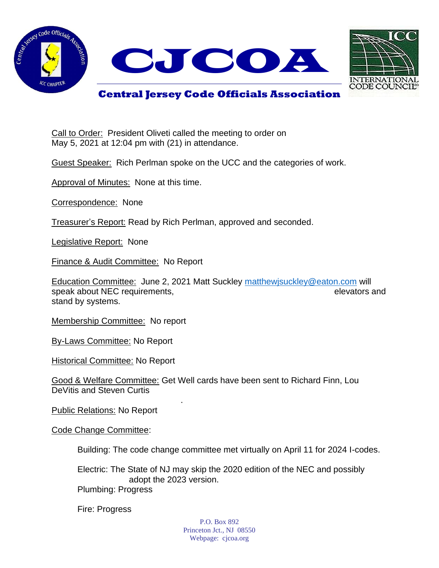



## **Central Jersey Code Officials Association**

Call to Order: President Oliveti called the meeting to order on May 5, 2021 at 12:04 pm with (21) in attendance.

Guest Speaker: Rich Perlman spoke on the UCC and the categories of work.

Approval of Minutes: None at this time.

Correspondence: None

Treasurer's Report: Read by Rich Perlman, approved and seconded.

Legislative Report: None

Finance & Audit Committee: No Report

Education Committee: June 2, 2021 Matt Suckley [matthewjsuckley@eaton.com](mailto:matthewjsuckley@eaton.com) will speak about NEC requirements, elevators and speak about NEC requirements, stand by systems.

Membership Committee: No report

By-Laws Committee: No Report

Historical Committee: No Report

Good & Welfare Committee: Get Well cards have been sent to Richard Finn, Lou DeVitis and Steven Curtis

.

Public Relations: No Report

Code Change Committee:

Building: The code change committee met virtually on April 11 for 2024 I-codes.

Electric: The State of NJ may skip the 2020 edition of the NEC and possibly adopt the 2023 version. Plumbing: Progress

Fire: Progress